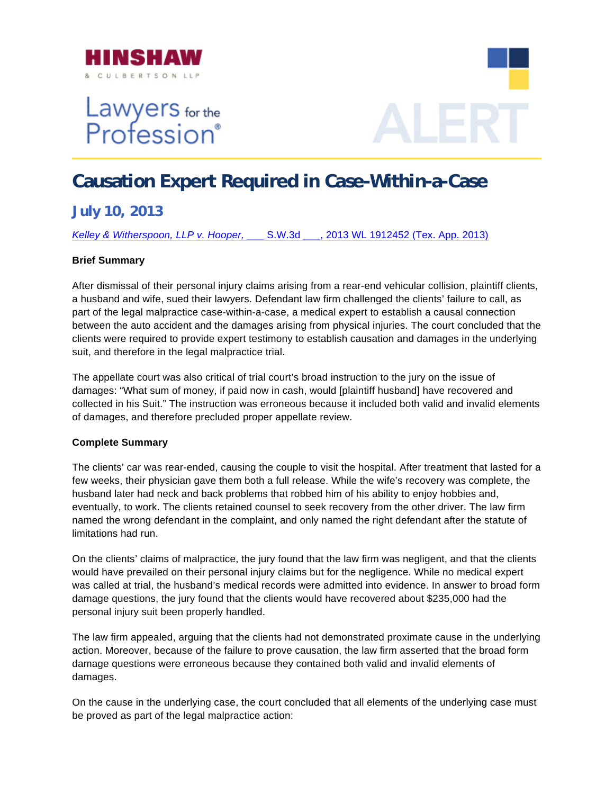

# Lawyers for the<br>Profession®



## **Causation Expert Required in Case-Within-a-Case**

### **July 10, 2013**

*Kelley & Witherspoon, LLP v. Hooper,* [\\_\\_\\_ S.W.3d \\_\\_\\_, 2013 WL 1912452 \(Tex. App. 2013\)](http://www.hinshawlaw.com/files/upload/Kelley.pdf)

#### **Brief Summary**

After dismissal of their personal injury claims arising from a rear-end vehicular collision, plaintiff client s, a husband and wife, sued their lawyers. Defendant law firm challenged the clients' failure to call, as part of the legal malpractice case-within-a-case, a medical expert to establish a causal connection between the auto accident and the damages arising from physical injuries. The court concluded that the clients were required to provide expert testimony to establish causation and damages in the underlying suit, and therefore in the legal malpractice trial.

damages: "What sum of money, if paid now in cash, would [plaintiff husband] have recovered and collected in his Suit." The instruction was erroneous because it included both valid and invalid elements of damages, and therefore precluded proper appellate review. The appellate court was also critical of trial court's broad instruction to the jury on the issue of

#### **Complete Summary**

husband later had neck and back problems that robbed him of his ability to enjoy hobbies and, The clients' car was rear-ended, causing the couple to visit the hospital. After treatment that lasted for a few weeks, their physician gave them both a full release. While the wife's recovery was complete, the eventually, to work. The clients retained counsel to seek recovery from the other driver. The law firm named the wrong defendant in the complaint, and only named the right defendant after the statute of limitations had run.

On the clients' claims of malpractice, the jury found that the law firm was negligent, and that the clients would have prevailed on their personal injury claims but for the negligence. While no medical expert was called at trial, the husband's medical records were admitted into evidence. In answer to broad form damage questions, the jury found that the clients would have recovered about \$235,000 had the personal injury suit been properly handled.

damage questions were erroneous because they contained both valid and invalid elements of damage s. The law firm appealed, arguing that the clients had not demonstrated proximate cause in the underlying action. Moreover, because of the failure to prove causation, the law firm asserted that the broad form

On the cause in the underlying case, the court concluded that all elements of the underlying case must be prov ed as part of the legal malpractice action: